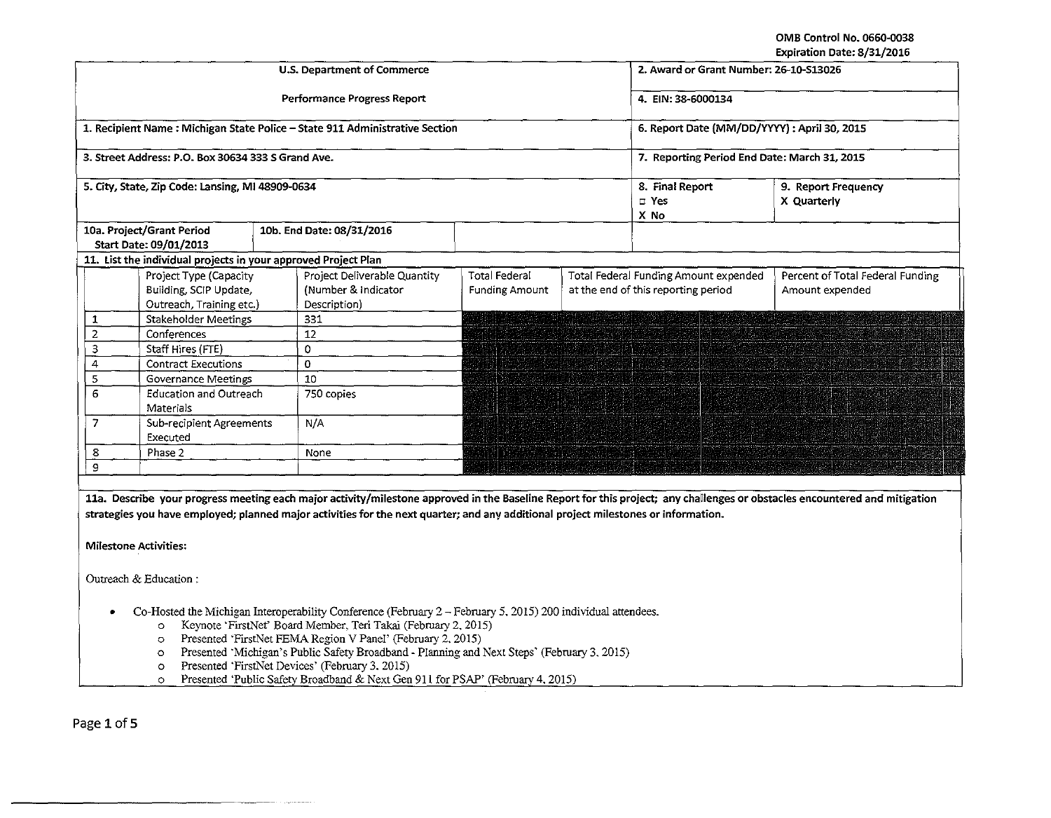OMB Control No. 0660·0038 Expiration Date: 8/31/2016

|                                                                                                                                                                            |                                                                                                              |                                        |                                              |                                                                              | expiration Date: 8/31/2016                          |  |  |
|----------------------------------------------------------------------------------------------------------------------------------------------------------------------------|--------------------------------------------------------------------------------------------------------------|----------------------------------------|----------------------------------------------|------------------------------------------------------------------------------|-----------------------------------------------------|--|--|
|                                                                                                                                                                            | <b>U.S. Department of Commerce</b>                                                                           |                                        | 2. Award or Grant Number: 26-10-S13026       |                                                                              |                                                     |  |  |
|                                                                                                                                                                            | Performance Progress Report                                                                                  |                                        | 4. EIN: 38-6000134                           |                                                                              |                                                     |  |  |
| 1. Recipient Name: Michigan State Police - State 911 Administrative Section                                                                                                |                                                                                                              |                                        |                                              | 6. Report Date (MM/DD/YYYY): April 30, 2015                                  |                                                     |  |  |
| 3. Street Address: P.O. Box 30634 333 S Grand Ave.                                                                                                                         |                                                                                                              |                                        | 7. Reporting Period End Date: March 31, 2015 |                                                                              |                                                     |  |  |
| 5. City, State, Zip Code: Lansing, MI 48909-0634                                                                                                                           |                                                                                                              |                                        | 8. Final Report<br>$\square$ Yes<br>X No     | 9. Report Frequency<br>X Quarterly                                           |                                                     |  |  |
| 10a. Project/Grant Period<br>Start Date: 09/01/2013                                                                                                                        | 10b. End Date: 08/31/2016                                                                                    |                                        |                                              |                                                                              |                                                     |  |  |
| 11. List the individual projects in your approved Project Plan                                                                                                             |                                                                                                              |                                        |                                              |                                                                              |                                                     |  |  |
| Project Type (Capacity<br>Building, SCIP Update,<br>Outreach, Training etc.)                                                                                               | Project Deliverable Quantity<br>(Number & Indicator)<br>Description)                                         | Total Federal<br><b>Funding Amount</b> |                                              | Total Federal Funding Amount expended<br>at the end of this reporting period | Percent of Total Federal Funding<br>Amount expended |  |  |
| Stakeholder Meetings<br>1                                                                                                                                                  | 331                                                                                                          |                                        |                                              |                                                                              |                                                     |  |  |
| $\overline{2}$<br>Conferences                                                                                                                                              | 12                                                                                                           |                                        |                                              |                                                                              |                                                     |  |  |
| 3<br>Staff Hires (FTE)                                                                                                                                                     | $\Omega$                                                                                                     |                                        |                                              |                                                                              |                                                     |  |  |
| 4<br><b>Contract Executions</b>                                                                                                                                            | $\overline{\mathfrak{o}}$                                                                                    |                                        |                                              |                                                                              |                                                     |  |  |
| 5<br><b>Governance Meetings</b>                                                                                                                                            | 10                                                                                                           |                                        |                                              |                                                                              |                                                     |  |  |
| 6<br><b>Education and Outreach</b><br>Materials                                                                                                                            | 750 copies                                                                                                   |                                        |                                              |                                                                              |                                                     |  |  |
| 7<br>Sub-recipient Agreements<br>Executed                                                                                                                                  | N/A                                                                                                          |                                        |                                              |                                                                              |                                                     |  |  |
| 8<br>Phase 2                                                                                                                                                               | None                                                                                                         |                                        |                                              |                                                                              |                                                     |  |  |
| 9                                                                                                                                                                          |                                                                                                              |                                        |                                              |                                                                              |                                                     |  |  |
|                                                                                                                                                                            |                                                                                                              |                                        |                                              |                                                                              |                                                     |  |  |
| 11a. Describe your progress meeting each major activity/milestone approved in the Baseline Report for this project; any challenges or obstacles encountered and mitigation |                                                                                                              |                                        |                                              |                                                                              |                                                     |  |  |
|                                                                                                                                                                            |                                                                                                              |                                        |                                              |                                                                              |                                                     |  |  |
| strategies you have employed; planned major activities for the next quarter; and any additional project milestones or information.                                         |                                                                                                              |                                        |                                              |                                                                              |                                                     |  |  |
| <b>Milestone Activities:</b>                                                                                                                                               |                                                                                                              |                                        |                                              |                                                                              |                                                     |  |  |
| Outreach & Education:                                                                                                                                                      |                                                                                                              |                                        |                                              |                                                                              |                                                     |  |  |
|                                                                                                                                                                            | Co-Hosted the Michigan Interoperability Conference (February 2 - February 5, 2015) 200 individual attendees. |                                        |                                              |                                                                              |                                                     |  |  |
| Keynote 'FirstNet' Board Member, Teri Takai (February 2, 2015)<br>$\circ$                                                                                                  |                                                                                                              |                                        |                                              |                                                                              |                                                     |  |  |
| Presented 'FirstNet FEMA Region V Panel' (February 2, 2015)<br>O                                                                                                           |                                                                                                              |                                        |                                              |                                                                              |                                                     |  |  |
| Presented 'Michigan's Public Safety Broadband - Planning and Next Steps' (February 3, 2015)<br>$\circ$<br>Presented 'FirstNet Devices' (February 3, 2015)                  |                                                                                                              |                                        |                                              |                                                                              |                                                     |  |  |
| $\circ$<br>Presented 'Public Safety Broadband & Next Gen 911 for PSAP' (February 4, 2015)<br>$\circ$                                                                       |                                                                                                              |                                        |                                              |                                                                              |                                                     |  |  |
|                                                                                                                                                                            |                                                                                                              |                                        |                                              |                                                                              |                                                     |  |  |
|                                                                                                                                                                            |                                                                                                              |                                        |                                              |                                                                              |                                                     |  |  |

Page 1 of 5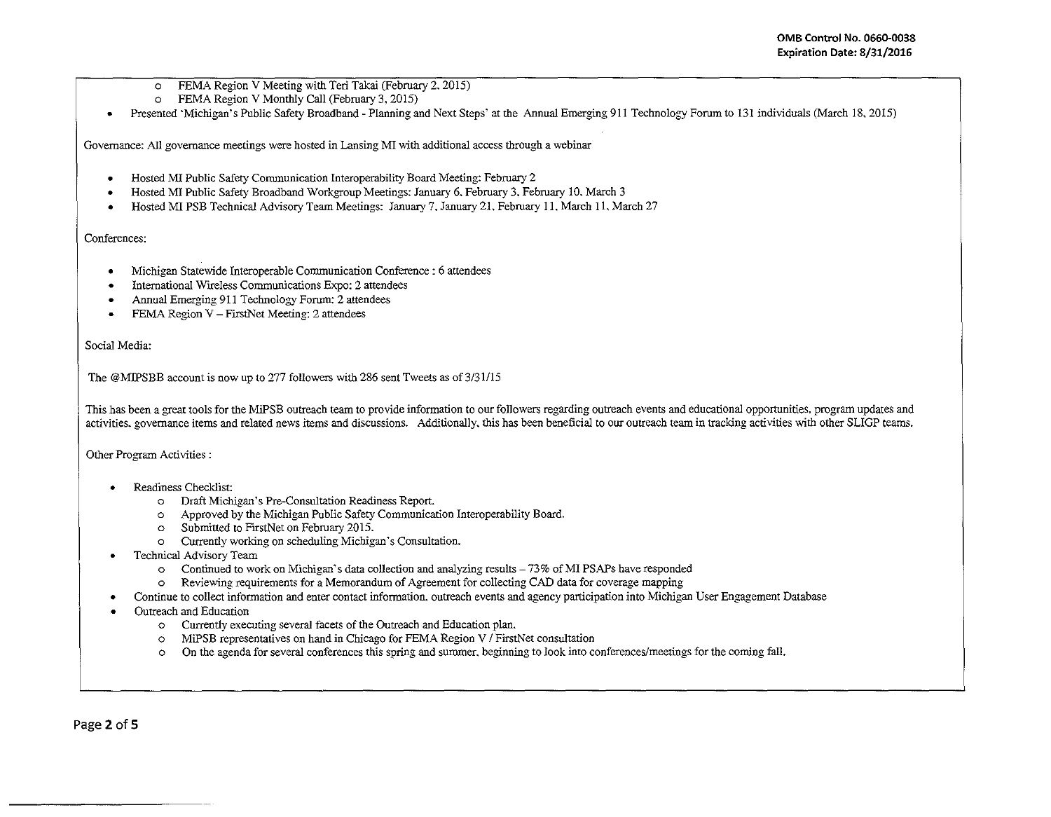- o FEMA Region V Meeting with Teri Takai (February 2. 2015)
- o FEMA Region V Monthly Call (February 3. 2015)
- Presented 'Michigan's Public Safety Broadband- Planning and Next Steps' at the Annual Emerging 911 Technology Forum to 131 individuals (March 18, 2015)

Governance: All governance meetings were hosted in Lansing MI with additional access through a webinar

- Hosted MI Public Safety Communication Interoperability Board Meeting: February 2
- Hosted MI Public Safety Broadband Workgroup Meetings: January 6. February 3. February 10. March 3
- Hosted MI PSB Technical Advisory Team Meetings: January 7. January 21. February 11. March 11. March 27

## Conferences:

- Michigan Statewide Interoperable Communication Conference : 6 attendees
- International Wireless Communications Expo: 2 attendees
- Annual Emerging 911 Technology Forum: 2 attendees
- FEMA Region V FirstNet Meeting: 2 attendees

Social Media:

The @MIPSBB account is now up to 277 followers with 286 sent Tweets as of 3/31/15

This has been a great tools for the MiPSB outreach team to provide infonnation to our followers regarding outreach events and educational opportunities. program updates and activities. governance items and related news items and discussions. Additionally. this has been beneficial to our outreach team in tracking activities with other SLIGP teams.

Other Program Activities :

- Readiness Checklist:
	- o Draft Michigan's Pre-Consultation Readiness Report.
	- o Approved by the Michigan Public Safety Communication Interoperability Board.
	- o Submitted to FrrstNet on February 2015.
	- o Currently working on scheduling Michigan· s Consultation.
- Technical Advisory Team
	- $\circ$  Continued to work on Michigan's data collection and analyzing results  $73\%$  of MI PSAPs have responded
	- o Reviewing requirements for a Memorandum of Agreement for collecting CAD data for coverage mapping
- Continue to collect infonnation and enter contact infonnation, outreach events and agency participation into Michigan Gser Engagement Database
- Outreach and Education
	- o Currently executing several facets of the Outreach and Education plan.
	- o MiPSB representatives on hand in Chicago for FEMA Region VI FirstNet consultation
	- o On the agenda for several conferences this spring and summer. beginning to look into conferences/meetings for the coming fall.

Page 2 of 5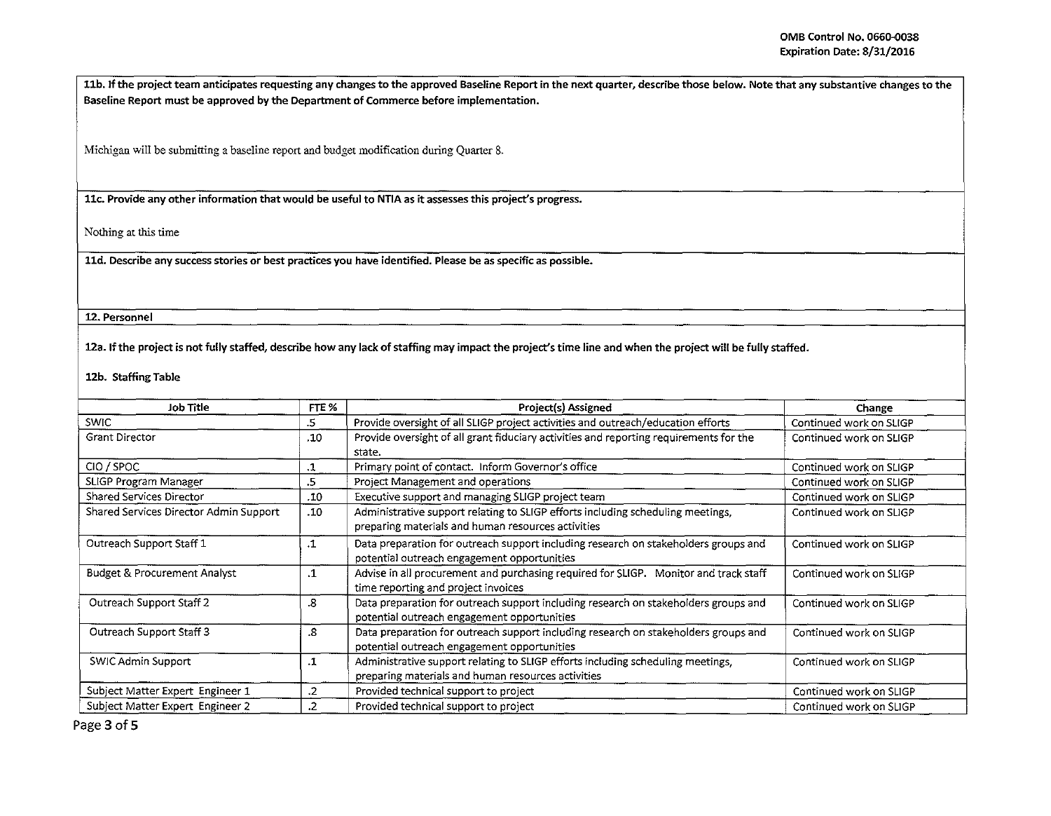11b. If the project team anticipates requesting any changes to the approved Baseline Report in the next quarter, describe those below. Note that any substantive changes to the Baseline Report must be approved by the Department of Commerce before implementation.

Michigan will be submitting a baseline report and budget modification during Quarter 8.

llc. Provide any other information that would be useful to NTIA as it assesses this project's progress.

Nothing at this time

lld. Describe any success stories or best practices you have identified. Please be as specific as possible.

## 12. Personnel

12a. If the project is not fully staffed, describe how any lack of staffing may impact the project's time line and when the project will be fully staffed.

## 12b. Staffing Table

| Job Title                               | FTE %     | Project(s) Assigned                                                                                                                                           | Change                  |
|-----------------------------------------|-----------|---------------------------------------------------------------------------------------------------------------------------------------------------------------|-------------------------|
| <b>SWIC</b>                             | .5        | Provide oversight of all SLIGP project activities and outreach/education efforts                                                                              | Continued work on SLIGP |
| Grant Director                          | .10       | Provide oversight of all grant fiduciary activities and reporting requirements for the<br>state.                                                              | Continued work on SLIGP |
| CIO / SPOC                              | .1        | Primary point of contact. Inform Governor's office                                                                                                            | Continued work on SLIGP |
| SLIGP Program Manager                   | .5        | Project Management and operations                                                                                                                             | Continued work on SLIGP |
| Shared Services Director                | .10       | Executive support and managing SLIGP project team                                                                                                             | Continued work on SLIGP |
| Shared Services Director Admin Support  | .10       | Administrative support relating to SLIGP efforts including scheduling meetings,<br>preparing materials and human resources activities                         | Continued work on SLIGP |
| Outreach Support Staff 1                | $\cdot$ 1 | Data preparation for outreach support including research on stakeholders groups and<br>Continued work on SLIGP<br>potential outreach engagement opportunities |                         |
| <b>Budget &amp; Procurement Analyst</b> | $\cdot$ 1 | Advise in all procurement and purchasing required for SLIGP. Monitor and track staff<br>time reporting and project invoices                                   | Continued work on SLIGP |
| Outreach Support Staff 2                | .8        | Data preparation for outreach support including research on stakeholders groups and<br>potential outreach engagement opportunities                            | Continued work on SLIGP |
| Outreach Support Staff 3                | .8        | Data preparation for outreach support including research on stakeholders groups and<br>potential outreach engagement opportunities                            | Continued work on SLIGP |
| SWIC Admin Support                      | .1        | Administrative support relating to SLIGP efforts including scheduling meetings,<br>preparing materials and human resources activities                         | Continued work on SLIGP |
| Subject Matter Expert Engineer 1        | .2        | Provided technical support to project                                                                                                                         | Continued work on SLIGP |
| Subject Matter Expert Engineer 2        | .2        | Provided technical support to project                                                                                                                         | Continued work on SLIGP |

Page 3 of 5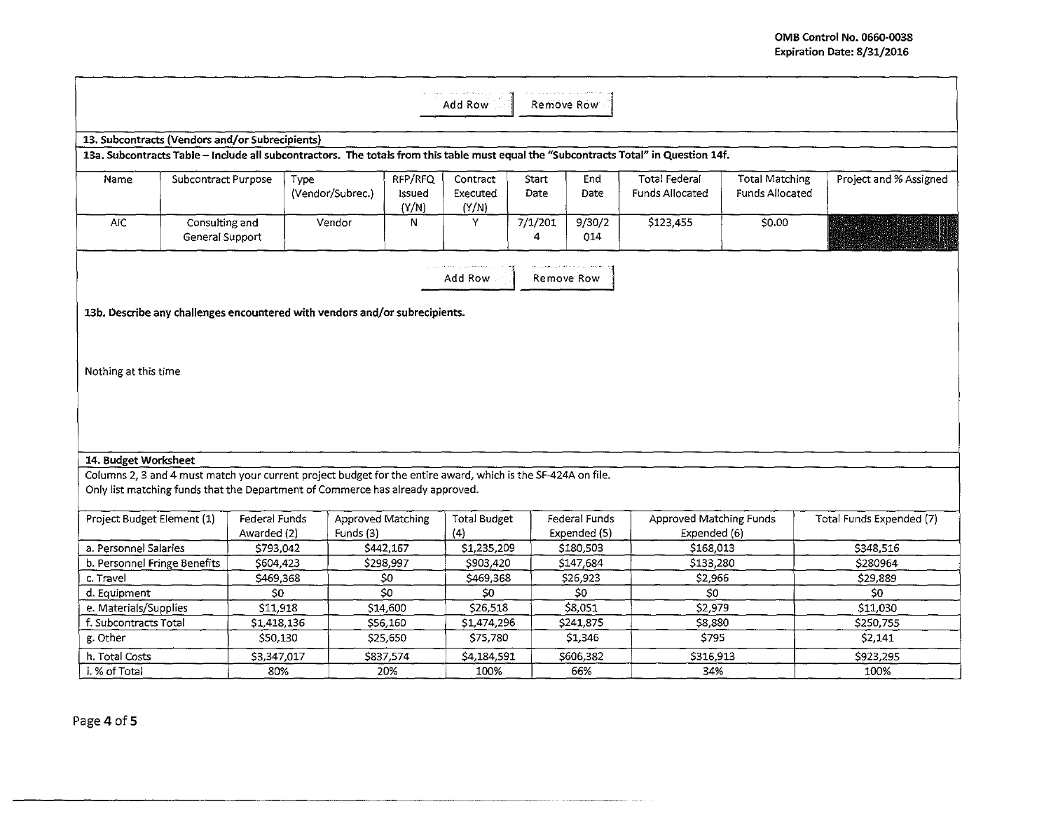| Add Row<br>Remove Row                                                                                                                                                                           |                                   |                              |                                       |                            |                               |                      |                               |                                                                                                                                       |                                                 |                          |
|-------------------------------------------------------------------------------------------------------------------------------------------------------------------------------------------------|-----------------------------------|------------------------------|---------------------------------------|----------------------------|-------------------------------|----------------------|-------------------------------|---------------------------------------------------------------------------------------------------------------------------------------|-------------------------------------------------|--------------------------|
| 13. Subcontracts (Vendors and/or Subrecipients)                                                                                                                                                 |                                   |                              |                                       |                            |                               |                      |                               |                                                                                                                                       |                                                 |                          |
|                                                                                                                                                                                                 |                                   |                              |                                       |                            |                               |                      |                               | 13a. Subcontracts Table - Include all subcontractors. The totals from this table must equal the "Subcontracts Total" in Question 14f. |                                                 |                          |
| Name.                                                                                                                                                                                           | Subcontract Purpose               | Type                         | (Vendor/Subrec.)                      | RFP/RFQ<br>Issued<br>(Y/N) | Contract<br>Executed<br>(Y/N) | <b>Start</b><br>Date | End<br>Date                   | <b>Total Federal</b><br><b>Funds Allocated</b>                                                                                        | <b>Total Matching</b><br><b>Funds Allocated</b> | Project and % Assigned   |
| <b>AIC</b>                                                                                                                                                                                      | Consulting and<br>General Support |                              | Vendor                                | N                          | Y                             | 7/1/201<br>4         | 9/30/2<br>014                 | \$123,455                                                                                                                             | \$0.00                                          |                          |
| Add Row<br>Remove Row                                                                                                                                                                           |                                   |                              |                                       |                            |                               |                      |                               |                                                                                                                                       |                                                 |                          |
| 13b. Describe any challenges encountered with vendors and/or subrecipients.                                                                                                                     |                                   |                              |                                       |                            |                               |                      |                               |                                                                                                                                       |                                                 |                          |
| Nothing at this time                                                                                                                                                                            |                                   |                              |                                       |                            |                               |                      |                               |                                                                                                                                       |                                                 |                          |
|                                                                                                                                                                                                 |                                   |                              |                                       |                            |                               |                      |                               |                                                                                                                                       |                                                 |                          |
| 14. Budget Worksheet                                                                                                                                                                            |                                   |                              |                                       |                            |                               |                      |                               |                                                                                                                                       |                                                 |                          |
| Columns 2, 3 and 4 must match your current project budget for the entire award, which is the SF-424A on file.<br>Only list matching funds that the Department of Commerce has already approved. |                                   |                              |                                       |                            |                               |                      |                               |                                                                                                                                       |                                                 |                          |
| Project Budget Element (1)                                                                                                                                                                      |                                   | Federal Funds<br>Awarded (2) | <b>Approved Matching</b><br>Funds (3) |                            | <b>Total Budget</b><br>(4)    |                      | Federal Funds<br>Expended (5) | Approved Matching Funds<br>Expended (6)                                                                                               |                                                 | Total Funds Expended (7) |
| a. Personnel Salaries                                                                                                                                                                           |                                   | \$793,042                    |                                       | \$442,167                  | \$1,235,209                   |                      | \$180,503                     | S168,013                                                                                                                              |                                                 | \$348,516                |
| b. Personnel Fringe Benefits                                                                                                                                                                    |                                   | \$604,423                    |                                       | \$298,997                  | \$903,420                     |                      | \$147,684                     | \$133,280                                                                                                                             |                                                 | \$280964                 |
| c. Travel                                                                                                                                                                                       |                                   | \$469,368                    |                                       | 50                         | \$469,368                     |                      | \$26,923                      | \$2,966                                                                                                                               |                                                 | \$29,889                 |
| d. Equipment                                                                                                                                                                                    |                                   | S0                           |                                       | $\overline{\mathsf{S0}}$   | 50                            |                      | \$0                           | \$0                                                                                                                                   |                                                 | SO <sub>2</sub>          |
| e. Materials/Supplies                                                                                                                                                                           |                                   | \$11,918                     |                                       | \$14,600                   | \$26,518                      |                      | \$8,051                       | \$2,979                                                                                                                               |                                                 | \$11,030                 |
| f. Subcontracts Total                                                                                                                                                                           |                                   | \$1,418,136                  |                                       | \$56,160                   | \$1,474,296                   |                      | \$241,875                     | \$8,880                                                                                                                               |                                                 | \$250,755                |
| g. Other                                                                                                                                                                                        |                                   | \$50,130                     |                                       | \$25,650                   | \$75,780                      |                      | \$1,346                       | \$795                                                                                                                                 |                                                 | \$2,141                  |
| h. Total Costs                                                                                                                                                                                  |                                   | \$3,347,017                  |                                       | \$837,574                  | \$4,184,591                   |                      | \$606,382                     | \$316,913                                                                                                                             |                                                 | \$923,295                |
| i. % of Total                                                                                                                                                                                   |                                   | 80%                          |                                       | 20%                        | 100%                          |                      | 66%                           | 34%                                                                                                                                   |                                                 | 100%                     |

an an